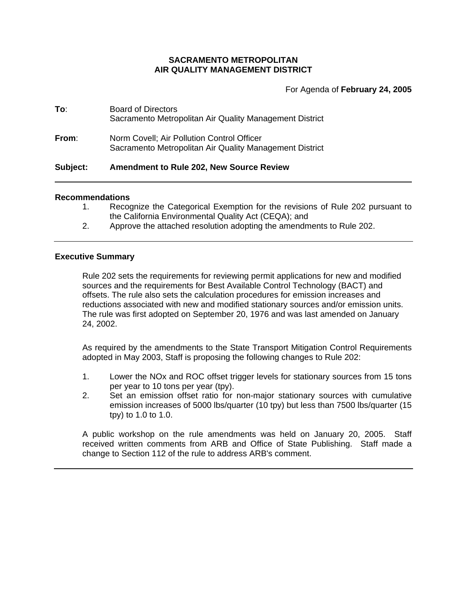# **SACRAMENTO METROPOLITAN AIR QUALITY MANAGEMENT DISTRICT**

For Agenda of **February 24, 2005**

| Subject: | <b>Amendment to Rule 202, New Source Review</b>                                                       |
|----------|-------------------------------------------------------------------------------------------------------|
| From:    | Norm Covell; Air Pollution Control Officer<br>Sacramento Metropolitan Air Quality Management District |
| To:      | <b>Board of Directors</b><br>Sacramento Metropolitan Air Quality Management District                  |

### **Recommendations**

- 1. Recognize the Categorical Exemption for the revisions of Rule 202 pursuant to the California Environmental Quality Act (CEQA); and
- 2. Approve the attached resolution adopting the amendments to Rule 202.

## **Executive Summary**

Rule 202 sets the requirements for reviewing permit applications for new and modified sources and the requirements for Best Available Control Technology (BACT) and offsets. The rule also sets the calculation procedures for emission increases and reductions associated with new and modified stationary sources and/or emission units. The rule was first adopted on September 20, 1976 and was last amended on January 24, 2002.

As required by the amendments to the State Transport Mitigation Control Requirements adopted in May 2003, Staff is proposing the following changes to Rule 202:

- 1. Lower the NOx and ROC offset trigger levels for stationary sources from 15 tons per year to 10 tons per year (tpy).
- 2. Set an emission offset ratio for non-major stationary sources with cumulative emission increases of 5000 lbs/quarter (10 tpy) but less than 7500 lbs/quarter (15 tpy) to 1.0 to 1.0.

A public workshop on the rule amendments was held on January 20, 2005. Staff received written comments from ARB and Office of State Publishing. Staff made a change to Section 112 of the rule to address ARB's comment.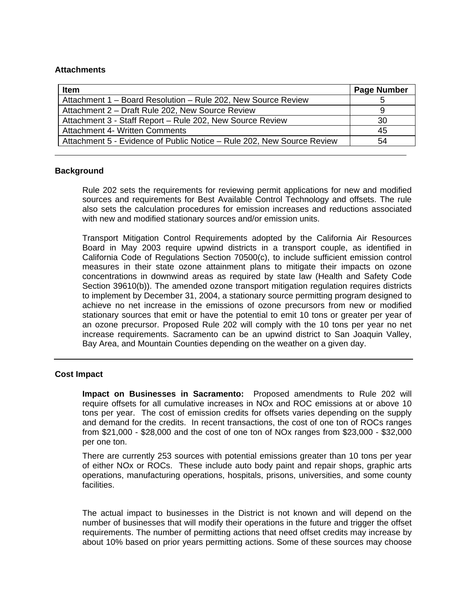## **Attachments**

| <b>Item</b>                                                            | <b>Page Number</b> |
|------------------------------------------------------------------------|--------------------|
| Attachment 1 – Board Resolution – Rule 202, New Source Review          | 5                  |
| Attachment 2 - Draft Rule 202, New Source Review                       | 9                  |
| Attachment 3 - Staff Report - Rule 202, New Source Review              | 30                 |
| <b>Attachment 4- Written Comments</b>                                  | 45                 |
| Attachment 5 - Evidence of Public Notice - Rule 202, New Source Review | 54                 |

## **Background**

Rule 202 sets the requirements for reviewing permit applications for new and modified sources and requirements for Best Available Control Technology and offsets. The rule also sets the calculation procedures for emission increases and reductions associated with new and modified stationary sources and/or emission units.

Transport Mitigation Control Requirements adopted by the California Air Resources Board in May 2003 require upwind districts in a transport couple, as identified in California Code of Regulations Section 70500(c), to include sufficient emission control measures in their state ozone attainment plans to mitigate their impacts on ozone concentrations in downwind areas as required by state law (Health and Safety Code Section 39610(b)). The amended ozone transport mitigation regulation requires districts to implement by December 31, 2004, a stationary source permitting program designed to achieve no net increase in the emissions of ozone precursors from new or modified stationary sources that emit or have the potential to emit 10 tons or greater per year of an ozone precursor. Proposed Rule 202 will comply with the 10 tons per year no net increase requirements. Sacramento can be an upwind district to San Joaquin Valley, Bay Area, and Mountain Counties depending on the weather on a given day.

#### **Cost Impact**

**Impact on Businesses in Sacramento:** Proposed amendments to Rule 202 will require offsets for all cumulative increases in NOx and ROC emissions at or above 10 tons per year. The cost of emission credits for offsets varies depending on the supply and demand for the credits. In recent transactions, the cost of one ton of ROCs ranges from \$21,000 - \$28,000 and the cost of one ton of NOx ranges from \$23,000 - \$32,000 per one ton.

There are currently 253 sources with potential emissions greater than 10 tons per year of either NOx or ROCs. These include auto body paint and repair shops, graphic arts operations, manufacturing operations, hospitals, prisons, universities, and some county facilities.

The actual impact to businesses in the District is not known and will depend on the number of businesses that will modify their operations in the future and trigger the offset requirements. The number of permitting actions that need offset credits may increase by about 10% based on prior years permitting actions. Some of these sources may choose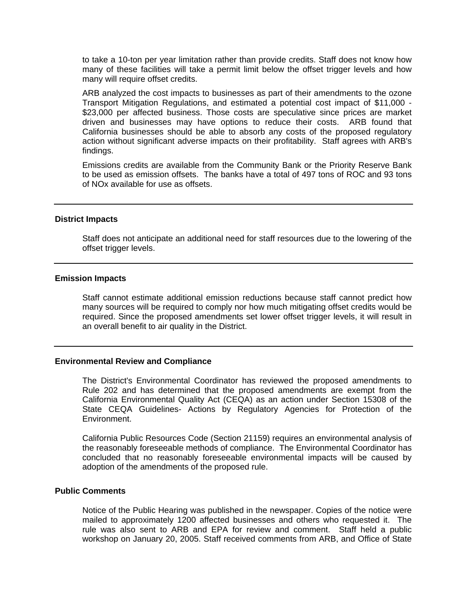to take a 10-ton per year limitation rather than provide credits. Staff does not know how many of these facilities will take a permit limit below the offset trigger levels and how many will require offset credits.

ARB analyzed the cost impacts to businesses as part of their amendments to the ozone Transport Mitigation Regulations, and estimated a potential cost impact of \$11,000 - \$23,000 per affected business. Those costs are speculative since prices are market driven and businesses may have options to reduce their costs. ARB found that California businesses should be able to absorb any costs of the proposed regulatory action without significant adverse impacts on their profitability. Staff agrees with ARB's findings.

Emissions credits are available from the Community Bank or the Priority Reserve Bank to be used as emission offsets. The banks have a total of 497 tons of ROC and 93 tons of NOx available for use as offsets.

#### **District Impacts**

Staff does not anticipate an additional need for staff resources due to the lowering of the offset trigger levels.

## **Emission Impacts**

Staff cannot estimate additional emission reductions because staff cannot predict how many sources will be required to comply nor how much mitigating offset credits would be required. Since the proposed amendments set lower offset trigger levels, it will result in an overall benefit to air quality in the District.

### **Environmental Review and Compliance**

The District's Environmental Coordinator has reviewed the proposed amendments to Rule 202 and has determined that the proposed amendments are exempt from the California Environmental Quality Act (CEQA) as an action under Section 15308 of the State CEQA Guidelines- Actions by Regulatory Agencies for Protection of the Environment.

California Public Resources Code (Section 21159) requires an environmental analysis of the reasonably foreseeable methods of compliance. The Environmental Coordinator has concluded that no reasonably foreseeable environmental impacts will be caused by adoption of the amendments of the proposed rule.

### **Public Comments**

Notice of the Public Hearing was published in the newspaper. Copies of the notice were mailed to approximately 1200 affected businesses and others who requested it. The rule was also sent to ARB and EPA for review and comment. Staff held a public workshop on January 20, 2005. Staff received comments from ARB, and Office of State